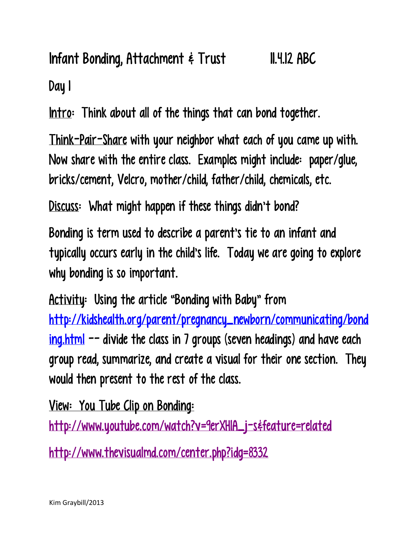## Infant Bonding, Attachment & Trust 11.4.12 ABC Day 1

Intro: Think about all of the things that can bond together.

Think-Pair-Share with your neighbor what each of you came up with. Now share with the entire class. Examples might include: paper/glue, bricks/cement, Velcro, mother/child, father/child, chemicals, etc.

Discuss: What might happen if these things didn't bond?

Bonding is term used to describe a parent's tie to an infant and typically occurs early in the child's life. Today we are going to explore why bonding is so important.

Activity: Using the article "Bonding with Baby" from [http://kidshealth.org/parent/pregnancy\\_newborn/communicating/bond](http://kidshealth.org/parent/pregnancy_newborn/communicating/bonding.html) [ing.html](http://kidshealth.org/parent/pregnancy_newborn/communicating/bonding.html)  $-$  divide the class in 7 groups (seven headings) and have each group read, summarize, and create a visual for their one section. They would then present to the rest of the class.

View: You Tube Clip on Bonding:

http://www.youtube.com/watch?v=9erXHIA\_j-s&feature=related

<http://www.thevisualmd.com/center.php?idg=8332>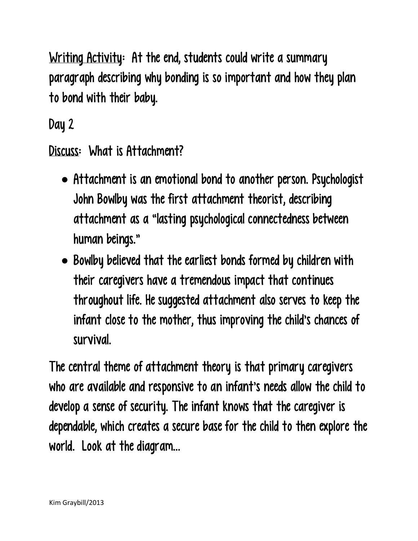Writing Activity: At the end, students could write a summary paragraph describing why bonding is so important and how they plan to bond with their baby.

Day 2

Discuss: What is Attachment?

- Attachment is an emotional bond to another person. Psychologist John Bowlby was the first attachment theorist, describing attachment as a "lasting psychological connectedness between human beings."
- Bowlby believed that the earliest bonds formed by children with their caregivers have a tremendous impact that continues throughout life. He suggested attachment also serves to keep the infant close to the mother, thus improving the child's chances of survival.

The central theme of attachment theory is that primary caregivers who are available and responsive to an infant's needs allow the child to develop a sense of security. The infant knows that the caregiver is dependable, which creates a secure base for the child to then explore the world. Look at the diagram…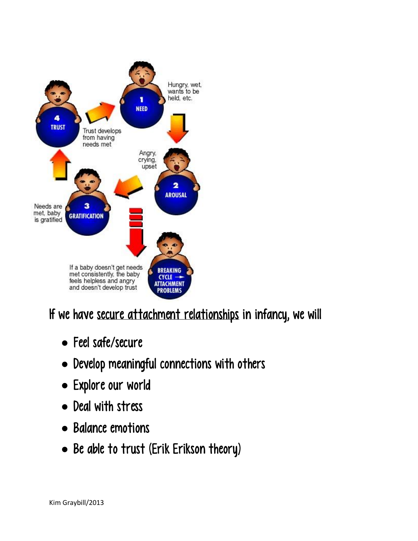

If we have secure attachment relationships in infancy, we will

- Feel safe/secure
- Develop meaningful connections with others
- Explore our world
- Deal with stress
- Balance emotions
- Be able to trust (Erik Erikson theory)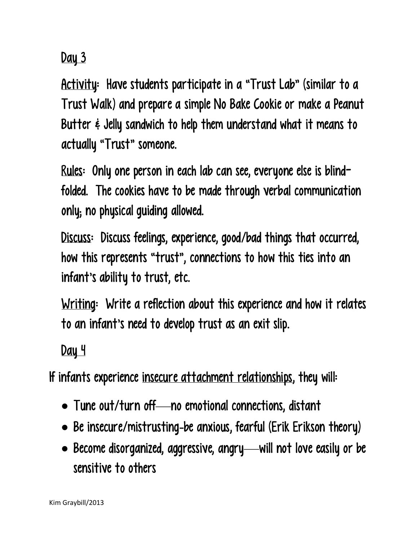Day 3

Activity: Have students participate in a "Trust Lab" (similar to a Trust Walk) and prepare a simple No Bake Cookie or make a Peanut Butter & Jelly sandwich to help them understand what it means to actually "Trust" someone.

Rules: Only one person in each lab can see, everyone else is blindfolded. The cookies have to be made through verbal communication only; no physical guiding allowed.

Discuss: Discuss feelings, experience, good/bad things that occurred, how this represents "trust" , connections to how this ties into an infant's ability to trust, etc.

Writing: Write a reflection about this experience and how it relates to an infant's need to develop trust as an exit slip.

Day 4

If infants experience insecure attachment relationships, they will:

- Tune out/turn off—no emotional connections, distant
- Be insecure/mistrusting-be anxious, fearful (Erik Erikson theory)
- Become disorganized, aggressive, angry—will not love easily or be sensitive to others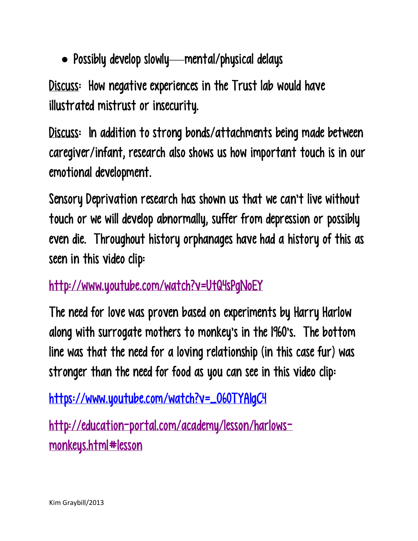Possibly develop slowly—mental/physical delays

Discuss: How negative experiences in the Trust lab would have illustrated mistrust or insecurity.

Discuss: In addition to strong bonds/attachments being made between caregiver/infant, research also shows us how important touch is in our emotional development.

Sensory Deprivation research has shown us that we can't live without touch or we will develop abnormally, suffer from depression or possibly even die. Throughout history orphanages have had a history of this as seen in this video clip:

## <http://www.youtube.com/watch?v=UtQ4sPgNoEY>

The need for love was proven based on experiments by Harry Harlow along with surrogate mothers to monkey's in the 1960's. The bottom line was that the need for a loving relationship (in this case fur) was stronger than the need for food as you can see in this video clip:

[https://www.youtube.com/watch?v=\\_O60TYAIgC4](https://www.youtube.com/watch?v=_O60TYAIgC4)

[http://education-portal.com/academy/lesson/harlows](http://education-portal.com/academy/lesson/harlows-monkeys.html#lesson)[monkeys.html#lesson](http://education-portal.com/academy/lesson/harlows-monkeys.html#lesson)